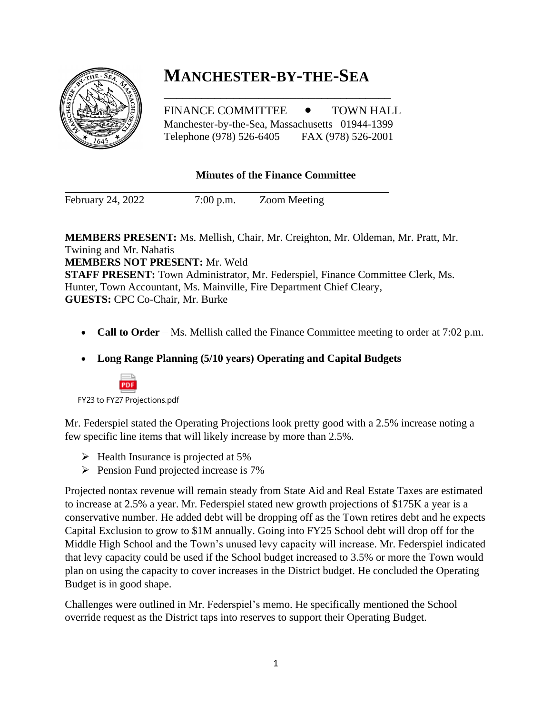# **MANCHESTER-BY-THE-SEA**

FINANCE COMMITTEE  $\bullet$  TOWN HALL Manchester-by-the-Sea, Massachusetts 01944-1399 Telephone (978) 526-6405 FAX (978) 526-2001

\_\_\_\_\_\_\_\_\_\_\_\_\_\_\_\_\_\_\_\_\_\_\_\_\_\_\_\_\_\_\_\_\_\_\_\_

## **Minutes of the Finance Committee**

February 24, 2022 7:00 p.m. Zoom Meeting

**MEMBERS PRESENT:** Ms. Mellish, Chair, Mr. Creighton, Mr. Oldeman, Mr. Pratt, Mr. Twining and Mr. Nahatis **MEMBERS NOT PRESENT:** Mr. Weld **STAFF PRESENT:** Town Administrator, Mr. Federspiel, Finance Committee Clerk, Ms. Hunter, Town Accountant, Ms. Mainville, Fire Department Chief Cleary, **GUESTS:** CPC Co-Chair, Mr. Burke

- **Call to Order** Ms. Mellish called the Finance Committee meeting to order at 7:02 p.m.
- **Long Range Planning (5/10 years) Operating and Capital Budgets**



Mr. Federspiel stated the Operating Projections look pretty good with a 2.5% increase noting a few specific line items that will likely increase by more than 2.5%.

- $\triangleright$  Health Insurance is projected at 5%
- ➢ Pension Fund projected increase is 7%

Projected nontax revenue will remain steady from State Aid and Real Estate Taxes are estimated to increase at 2.5% a year. Mr. Federspiel stated new growth projections of \$175K a year is a conservative number. He added debt will be dropping off as the Town retires debt and he expects Capital Exclusion to grow to \$1M annually. Going into FY25 School debt will drop off for the Middle High School and the Town's unused levy capacity will increase. Mr. Federspiel indicated that levy capacity could be used if the School budget increased to 3.5% or more the Town would plan on using the capacity to cover increases in the District budget. He concluded the Operating Budget is in good shape.

Challenges were outlined in Mr. Federspiel's memo. He specifically mentioned the School override request as the District taps into reserves to support their Operating Budget.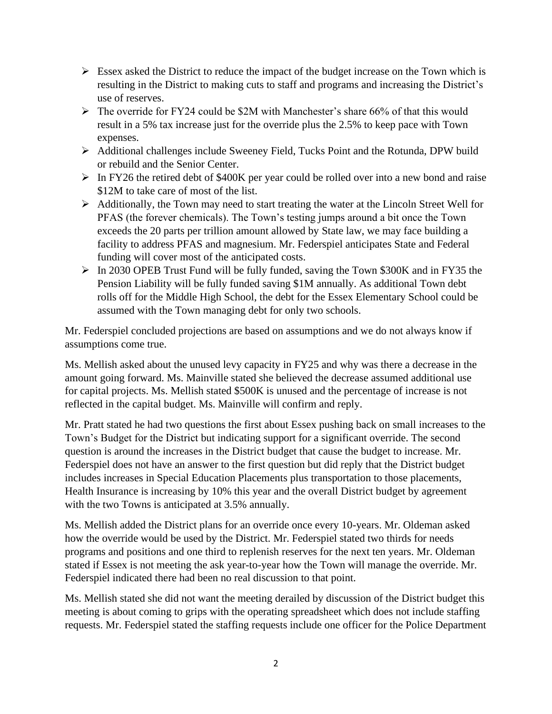- $\triangleright$  Essex asked the District to reduce the impact of the budget increase on the Town which is resulting in the District to making cuts to staff and programs and increasing the District's use of reserves.
- $\triangleright$  The override for FY24 could be \$2M with Manchester's share 66% of that this would result in a 5% tax increase just for the override plus the 2.5% to keep pace with Town expenses.
- ➢ Additional challenges include Sweeney Field, Tucks Point and the Rotunda, DPW build or rebuild and the Senior Center.
- ➢ In FY26 the retired debt of \$400K per year could be rolled over into a new bond and raise \$12M to take care of most of the list.
- ➢ Additionally, the Town may need to start treating the water at the Lincoln Street Well for PFAS (the forever chemicals). The Town's testing jumps around a bit once the Town exceeds the 20 parts per trillion amount allowed by State law, we may face building a facility to address PFAS and magnesium. Mr. Federspiel anticipates State and Federal funding will cover most of the anticipated costs.
- ➢ In 2030 OPEB Trust Fund will be fully funded, saving the Town \$300K and in FY35 the Pension Liability will be fully funded saving \$1M annually. As additional Town debt rolls off for the Middle High School, the debt for the Essex Elementary School could be assumed with the Town managing debt for only two schools.

Mr. Federspiel concluded projections are based on assumptions and we do not always know if assumptions come true.

Ms. Mellish asked about the unused levy capacity in FY25 and why was there a decrease in the amount going forward. Ms. Mainville stated she believed the decrease assumed additional use for capital projects. Ms. Mellish stated \$500K is unused and the percentage of increase is not reflected in the capital budget. Ms. Mainville will confirm and reply.

Mr. Pratt stated he had two questions the first about Essex pushing back on small increases to the Town's Budget for the District but indicating support for a significant override. The second question is around the increases in the District budget that cause the budget to increase. Mr. Federspiel does not have an answer to the first question but did reply that the District budget includes increases in Special Education Placements plus transportation to those placements, Health Insurance is increasing by 10% this year and the overall District budget by agreement with the two Towns is anticipated at 3.5% annually.

Ms. Mellish added the District plans for an override once every 10-years. Mr. Oldeman asked how the override would be used by the District. Mr. Federspiel stated two thirds for needs programs and positions and one third to replenish reserves for the next ten years. Mr. Oldeman stated if Essex is not meeting the ask year-to-year how the Town will manage the override. Mr. Federspiel indicated there had been no real discussion to that point.

Ms. Mellish stated she did not want the meeting derailed by discussion of the District budget this meeting is about coming to grips with the operating spreadsheet which does not include staffing requests. Mr. Federspiel stated the staffing requests include one officer for the Police Department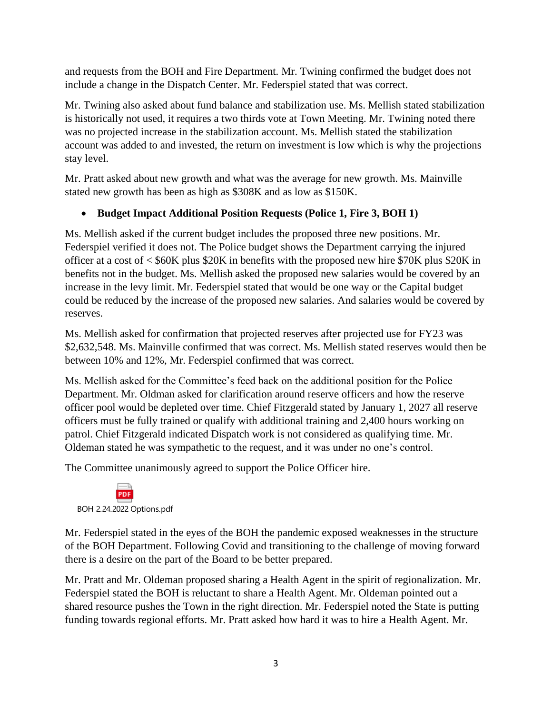and requests from the BOH and Fire Department. Mr. Twining confirmed the budget does not include a change in the Dispatch Center. Mr. Federspiel stated that was correct.

Mr. Twining also asked about fund balance and stabilization use. Ms. Mellish stated stabilization is historically not used, it requires a two thirds vote at Town Meeting. Mr. Twining noted there was no projected increase in the stabilization account. Ms. Mellish stated the stabilization account was added to and invested, the return on investment is low which is why the projections stay level.

Mr. Pratt asked about new growth and what was the average for new growth. Ms. Mainville stated new growth has been as high as \$308K and as low as \$150K.

# • **Budget Impact Additional Position Requests (Police 1, Fire 3, BOH 1)**

Ms. Mellish asked if the current budget includes the proposed three new positions. Mr. Federspiel verified it does not. The Police budget shows the Department carrying the injured officer at a cost of < \$60K plus \$20K in benefits with the proposed new hire \$70K plus \$20K in benefits not in the budget. Ms. Mellish asked the proposed new salaries would be covered by an increase in the levy limit. Mr. Federspiel stated that would be one way or the Capital budget could be reduced by the increase of the proposed new salaries. And salaries would be covered by reserves.

Ms. Mellish asked for confirmation that projected reserves after projected use for FY23 was \$2,632,548. Ms. Mainville confirmed that was correct. Ms. Mellish stated reserves would then be between 10% and 12%, Mr. Federspiel confirmed that was correct.

Ms. Mellish asked for the Committee's feed back on the additional position for the Police Department. Mr. Oldman asked for clarification around reserve officers and how the reserve officer pool would be depleted over time. Chief Fitzgerald stated by January 1, 2027 all reserve officers must be fully trained or qualify with additional training and 2,400 hours working on patrol. Chief Fitzgerald indicated Dispatch work is not considered as qualifying time. Mr. Oldeman stated he was sympathetic to the request, and it was under no one's control.

The Committee unanimously agreed to support the Police Officer hire.



Mr. Federspiel stated in the eyes of the BOH the pandemic exposed weaknesses in the structure of the BOH Department. Following Covid and transitioning to the challenge of moving forward there is a desire on the part of the Board to be better prepared.

Mr. Pratt and Mr. Oldeman proposed sharing a Health Agent in the spirit of regionalization. Mr. Federspiel stated the BOH is reluctant to share a Health Agent. Mr. Oldeman pointed out a shared resource pushes the Town in the right direction. Mr. Federspiel noted the State is putting funding towards regional efforts. Mr. Pratt asked how hard it was to hire a Health Agent. Mr.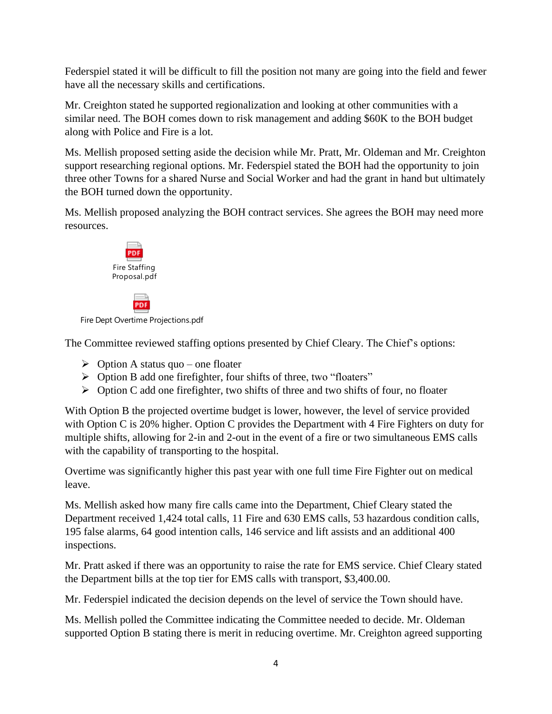Federspiel stated it will be difficult to fill the position not many are going into the field and fewer have all the necessary skills and certifications.

Mr. Creighton stated he supported regionalization and looking at other communities with a similar need. The BOH comes down to risk management and adding \$60K to the BOH budget along with Police and Fire is a lot.

Ms. Mellish proposed setting aside the decision while Mr. Pratt, Mr. Oldeman and Mr. Creighton support researching regional options. Mr. Federspiel stated the BOH had the opportunity to join three other Towns for a shared Nurse and Social Worker and had the grant in hand but ultimately the BOH turned down the opportunity.

Ms. Mellish proposed analyzing the BOH contract services. She agrees the BOH may need more resources.



**PDF** 

Fire Dept Overtime Projections.pdf

The Committee reviewed staffing options presented by Chief Cleary. The Chief's options:

- $\triangleright$  Option A status quo one floater
- ➢ Option B add one firefighter, four shifts of three, two "floaters"
- $\triangleright$  Option C add one firefighter, two shifts of three and two shifts of four, no floater

With Option B the projected overtime budget is lower, however, the level of service provided with Option C is 20% higher. Option C provides the Department with 4 Fire Fighters on duty for multiple shifts, allowing for 2-in and 2-out in the event of a fire or two simultaneous EMS calls with the capability of transporting to the hospital.

Overtime was significantly higher this past year with one full time Fire Fighter out on medical leave.

Ms. Mellish asked how many fire calls came into the Department, Chief Cleary stated the Department received 1,424 total calls, 11 Fire and 630 EMS calls, 53 hazardous condition calls, 195 false alarms, 64 good intention calls, 146 service and lift assists and an additional 400 inspections.

Mr. Pratt asked if there was an opportunity to raise the rate for EMS service. Chief Cleary stated the Department bills at the top tier for EMS calls with transport, \$3,400.00.

Mr. Federspiel indicated the decision depends on the level of service the Town should have.

Ms. Mellish polled the Committee indicating the Committee needed to decide. Mr. Oldeman supported Option B stating there is merit in reducing overtime. Mr. Creighton agreed supporting